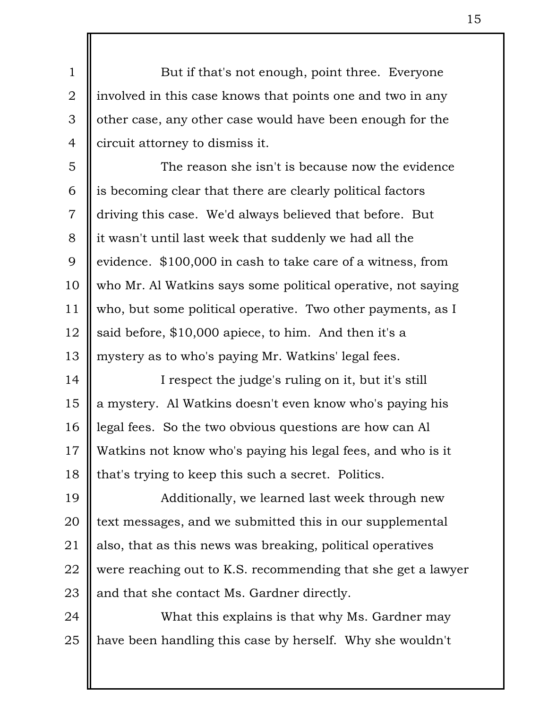But if that's not enough, point three. Everyone involved in this case knows that points one and two in any other case, any other case would have been enough for the circuit attorney to dismiss it. 1 2 3 4

The reason she isn't is because now the evidence is becoming clear that there are clearly political factors driving this case. We'd always believed that before. But it wasn't until last week that suddenly we had all the evidence. \$100,000 in cash to take care of a witness, from who Mr. Al Watkins says some political operative, not saying who, but some political operative. Two other payments, as I said before, \$10,000 apiece, to him. And then it's a mystery as to who's paying Mr. Watkins' legal fees. 5 6 7 8 9 10 11 12 13

I respect the judge's ruling on it, but it's still a mystery. Al Watkins doesn't even know who's paying his legal fees. So the two obvious questions are how can Al Watkins not know who's paying his legal fees, and who is it that's trying to keep this such a secret. Politics. 14 15 16 17 18

Additionally, we learned last week through new text messages, and we submitted this in our supplemental also, that as this news was breaking, political operatives were reaching out to K.S. recommending that she get a lawyer and that she contact Ms. Gardner directly. 19 20 21 22 23

What this explains is that why Ms. Gardner may have been handling this case by herself. Why she wouldn't 24 25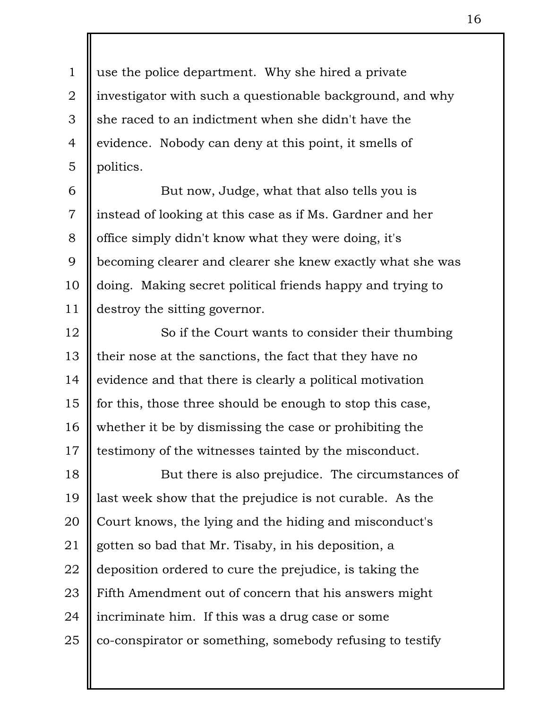use the police department. Why she hired a private investigator with such a questionable background, and why she raced to an indictment when she didn't have the evidence. Nobody can deny at this point, it smells of politics. 1 2 3 4 5

But now, Judge, what that also tells you is instead of looking at this case as if Ms. Gardner and her office simply didn't know what they were doing, it's becoming clearer and clearer she knew exactly what she was doing. Making secret political friends happy and trying to destroy the sitting governor. 6 7 8 9 10 11

So if the Court wants to consider their thumbing their nose at the sanctions, the fact that they have no evidence and that there is clearly a political motivation for this, those three should be enough to stop this case, whether it be by dismissing the case or prohibiting the testimony of the witnesses tainted by the misconduct. 12 13 14 15 16 17

But there is also prejudice. The circumstances of last week show that the prejudice is not curable. As the Court knows, the lying and the hiding and misconduct's gotten so bad that Mr. Tisaby, in his deposition, a deposition ordered to cure the prejudice, is taking the Fifth Amendment out of concern that his answers might incriminate him. If this was a drug case or some co-conspirator or something, somebody refusing to testify 18 19 20 21 22 23 24 25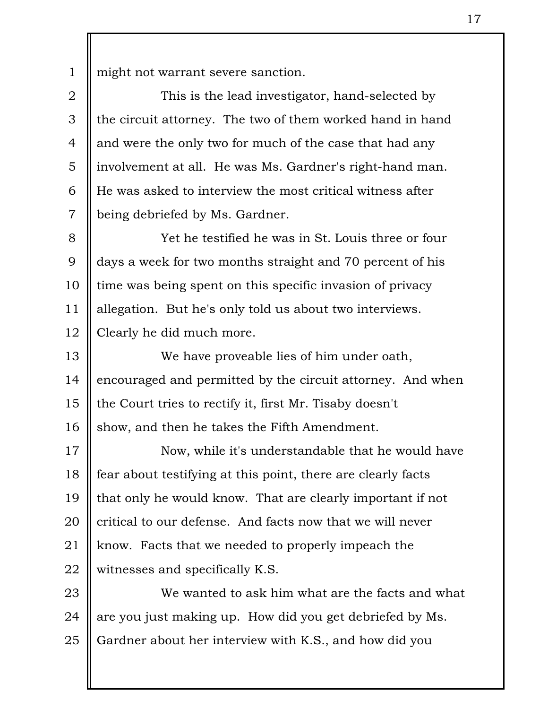might not warrant severe sanction. 1

This is the lead investigator, hand-selected by the circuit attorney. The two of them worked hand in hand and were the only two for much of the case that had any involvement at all. He was Ms. Gardner's right-hand man. He was asked to interview the most critical witness after being debriefed by Ms. Gardner. 2 3 4 5 6 7

Yet he testified he was in St. Louis three or four days a week for two months straight and 70 percent of his time was being spent on this specific invasion of privacy allegation. But he's only told us about two interviews. Clearly he did much more. 8 9 10 11 12

We have proveable lies of him under oath, encouraged and permitted by the circuit attorney. And when the Court tries to rectify it, first Mr. Tisaby doesn't show, and then he takes the Fifth Amendment. 13 14 15 16

Now, while it's understandable that he would have fear about testifying at this point, there are clearly facts that only he would know. That are clearly important if not critical to our defense. And facts now that we will never know. Facts that we needed to properly impeach the witnesses and specifically K.S. 17 18 19 20 21 22

We wanted to ask him what are the facts and what are you just making up. How did you get debriefed by Ms. Gardner about her interview with K.S., and how did you 23 24 25